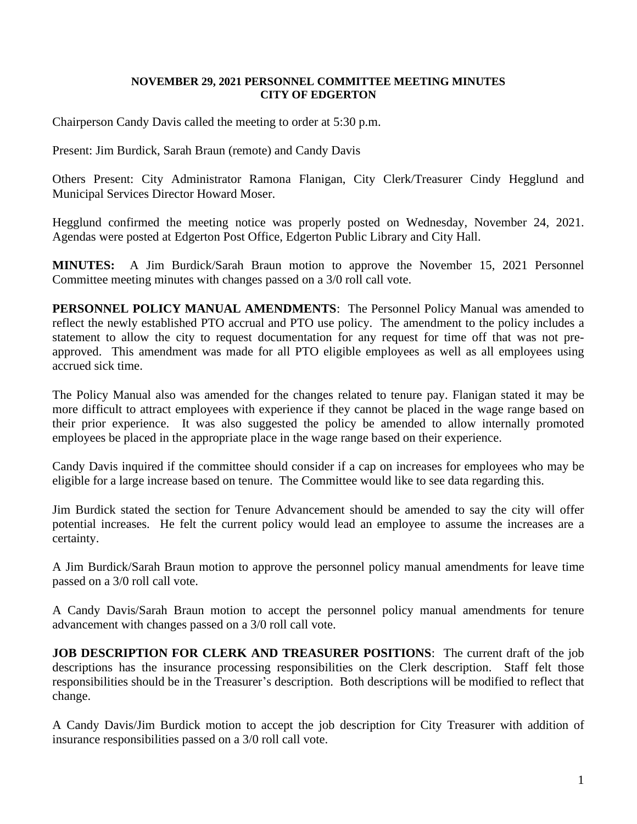## **NOVEMBER 29, 2021 PERSONNEL COMMITTEE MEETING MINUTES CITY OF EDGERTON**

Chairperson Candy Davis called the meeting to order at 5:30 p.m.

Present: Jim Burdick, Sarah Braun (remote) and Candy Davis

Others Present: City Administrator Ramona Flanigan, City Clerk/Treasurer Cindy Hegglund and Municipal Services Director Howard Moser.

Hegglund confirmed the meeting notice was properly posted on Wednesday, November 24, 2021. Agendas were posted at Edgerton Post Office, Edgerton Public Library and City Hall.

**MINUTES:** A Jim Burdick/Sarah Braun motion to approve the November 15, 2021 Personnel Committee meeting minutes with changes passed on a 3/0 roll call vote.

**PERSONNEL POLICY MANUAL AMENDMENTS**: The Personnel Policy Manual was amended to reflect the newly established PTO accrual and PTO use policy. The amendment to the policy includes a statement to allow the city to request documentation for any request for time off that was not preapproved. This amendment was made for all PTO eligible employees as well as all employees using accrued sick time.

The Policy Manual also was amended for the changes related to tenure pay. Flanigan stated it may be more difficult to attract employees with experience if they cannot be placed in the wage range based on their prior experience. It was also suggested the policy be amended to allow internally promoted employees be placed in the appropriate place in the wage range based on their experience.

Candy Davis inquired if the committee should consider if a cap on increases for employees who may be eligible for a large increase based on tenure. The Committee would like to see data regarding this.

Jim Burdick stated the section for Tenure Advancement should be amended to say the city will offer potential increases. He felt the current policy would lead an employee to assume the increases are a certainty.

A Jim Burdick/Sarah Braun motion to approve the personnel policy manual amendments for leave time passed on a 3/0 roll call vote.

A Candy Davis/Sarah Braun motion to accept the personnel policy manual amendments for tenure advancement with changes passed on a 3/0 roll call vote.

**JOB DESCRIPTION FOR CLERK AND TREASURER POSITIONS:** The current draft of the job descriptions has the insurance processing responsibilities on the Clerk description. Staff felt those responsibilities should be in the Treasurer's description. Both descriptions will be modified to reflect that change.

A Candy Davis/Jim Burdick motion to accept the job description for City Treasurer with addition of insurance responsibilities passed on a 3/0 roll call vote.